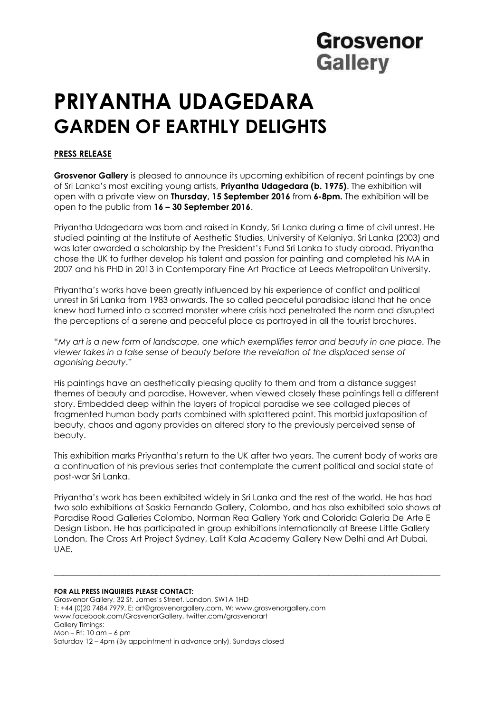## Grosvenor **Gallery**

# **PRIYANTHA UDAGEDARA GARDEN OF EARTHLY DELIGHTS**

### **PRESS RELEASE**

**Grosvenor Gallery** is pleased to announce its upcoming exhibition of recent paintings by one of Sri Lanka's most exciting young artists, **Priyantha Udagedara (b. 1975)**. The exhibition will open with a private view on **Thursday, 15 September 2016** from **6-8pm.** The exhibition will be open to the public from **16 – 30 September 2016**.

Priyantha Udagedara was born and raised in Kandy, Sri Lanka during a time of civil unrest. He studied painting at the Institute of Aesthetic Studies, University of Kelaniya, Sri Lanka (2003) and was later awarded a scholarship by the President's Fund Sri Lanka to study abroad. Priyantha chose the UK to further develop his talent and passion for painting and completed his MA in 2007 and his PHD in 2013 in Contemporary Fine Art Practice at Leeds Metropolitan University.

Priyantha's works have been greatly influenced by his experience of conflict and political unrest in Sri Lanka from 1983 onwards. The so called peaceful paradisiac island that he once knew had turned into a scarred monster where crisis had penetrated the norm and disrupted the perceptions of a serene and peaceful place as portrayed in all the tourist brochures.

"*My art is a new form of landscape, one which exemplifies terror and beauty in one place. The viewer takes in a false sense of beauty before the revelation of the displaced sense of agonising beauty*."

His paintings have an aesthetically pleasing quality to them and from a distance suggest themes of beauty and paradise. However, when viewed closely these paintings tell a different story. Embedded deep within the layers of tropical paradise we see collaged pieces of fragmented human body parts combined with splattered paint. This morbid juxtaposition of beauty, chaos and agony provides an altered story to the previously perceived sense of beauty.

This exhibition marks Priyantha's return to the UK after two years. The current body of works are a continuation of his previous series that contemplate the current political and social state of post-war Sri Lanka.

Priyantha's work has been exhibited widely in Sri Lanka and the rest of the world. He has had two solo exhibitions at Saskia Fernando Gallery, Colombo, and has also exhibited solo shows at Paradise Road Galleries Colombo, Norman Rea Gallery York and Colorida Galeria De Arte E Design Lisbon. He has participated in group exhibitions internationally at Breese Little Gallery London, The Cross Art Project Sydney, Lalit Kala Academy Gallery New Delhi and Art Dubai, UAE.

\_\_\_\_\_\_\_\_\_\_\_\_\_\_\_\_\_\_\_\_\_\_\_\_\_\_\_\_\_\_\_\_\_\_\_\_\_\_\_\_\_\_\_\_\_\_\_\_\_\_\_\_\_\_\_\_\_\_\_\_\_\_\_\_\_\_\_\_\_\_\_\_\_\_\_\_\_\_\_\_\_\_\_

#### **FOR ALL PRESS INQUIRIES PLEASE CONTACT:**

Grosvenor Gallery, 32 St. James's Street, London, SW1A 1HD T: +44 (0)20 7484 7979, E: art@grosvenorgallery.com, W: www.grosvenorgallery.com www.facebook.com/GrosvenorGallery, twitter.com/grosvenorart Gallery Timings: Mon – Fri: 10 am – 6 pm Saturday 12 – 4pm (By appointment in advance only), Sundays closed